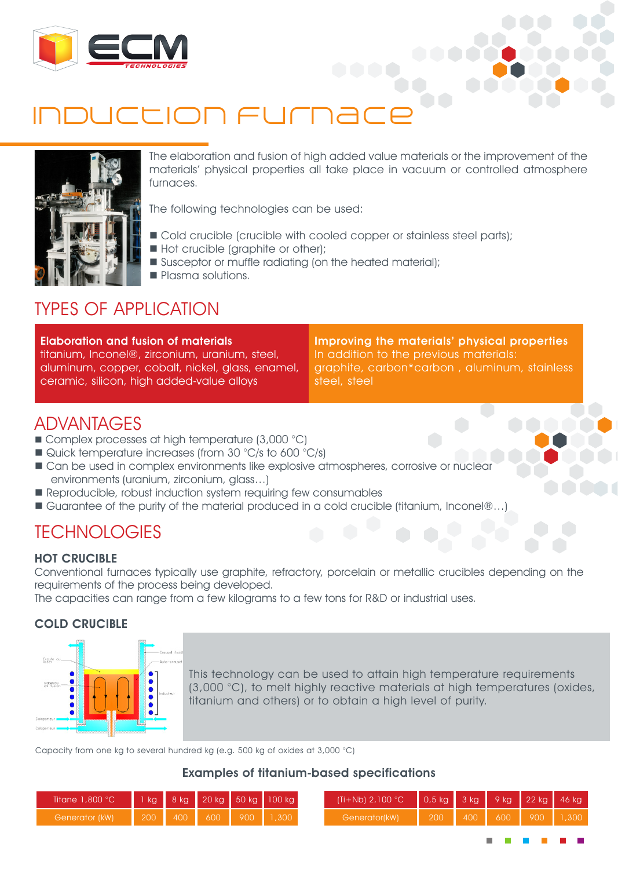

# THON FULL



The elaboration and fusion of high added value materials or the improvement of the materials' physical properties all take place in vacuum or controlled atmosphere furnaces.

The following technologies can be used:

- $\blacksquare$  Cold crucible (crucible with cooled copper or stainless steel parts);
- Hot crucible (graphite or other);
- Susceptor or muffle radiating (on the heated material);
- **n** Plasma solutions.

### TYPES OF APPLICATION

Elaboration and fusion of materials titanium, Inconel®, zirconium, uranium, steel, aluminum, copper, cobalt, nickel, glass, enamel, ceramic, silicon, high added-value alloys

Improving the materials' physical properties In addition to the previous materials: graphite, carbon\*carbon , aluminum, stainless steel, steel

### ADVANTAGES

- $\blacksquare$  Complex processes at high temperature (3,000 °C)
- $\blacksquare$  Quick temperature increases (from 30 °C/s to 600 °C/s)
- **n** Can be used in complex environments like explosive atmospheres, corrosive or nuclear environments (uranium, zirconium, glass…)
- Reproducible, robust induction system requiring few consumables
- Guarantee of the purity of the material produced in a cold crucible (titanium, Inconel®…)

### TECHNOLOGIES

#### HOT CRUCIBLE

Conventional furnaces typically use graphite, refractory, porcelain or metallic crucibles depending on the requirements of the process being developed.

The capacities can range from a few kilograms to a few tons for R&D or industrial uses.

#### COLD CRUCIBLE



This technology can be used to attain high temperature requirements (3,000 °C), to melt highly reactive materials at high temperatures (oxides, titanium and others) or to obtain a high level of purity.

Capacity from one kg to several hundred kg (e.g. 500 kg of oxides at 3,000 °C)

#### Examples of titanium-based specifications

| Titane $1,800\textdegree C$ |      |     |                  |     | 1 kg 8 kg 20 kg 50 kg 100 kg | $\left[ (Ti + Nb) 2,100 °C \right] 0.5 kg$ 3 kg 9 kg 22 kg 46 kg |     |                  |     |     |       |
|-----------------------------|------|-----|------------------|-----|------------------------------|------------------------------------------------------------------|-----|------------------|-----|-----|-------|
| Generator (kW)              | 1200 | 400 | 600 <sub>1</sub> | 900 | ,300                         | Generator(kW)                                                    | 200 | 400 <sub>1</sub> | 600 | 900 | 1,300 |